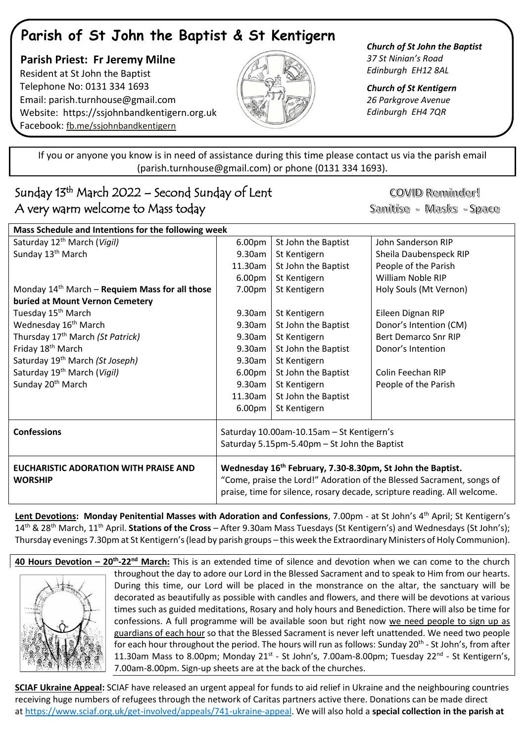## **Parish of St John the Baptist & St Kentigern**

 **Parish Priest: Fr Jeremy Milne** Resident at St John the Baptist Telephone No: 0131 334 1693 Email: [parish.turnhouse@gmail.com](mailto:parish.turnhouse@gmail.com)  Website: [https://ssjohnbandkentigern.org.uk](https://ssjohnbandkentigern.org.uk/) Facebook: [fb.me/ssjohnbandkentigern](https://fb.me/ssjohnbandkentigern)



*Church of St John the Baptist 37 St Ninian's Road Edinburgh EH12 8AL*

*Church of St Kentigern 26 Parkgrove Avenue Edinburgh EH4 7QR*

֡֡֡֡֡ If you or anyone you know is in need of assistance during this time please contact us via the parish email (parish.turnhouse@gmail.com) or phone (0131 334 1693).

## I Sunday 13th March 2022 – Second Sunday of Lent A very warm welcome to Mass today

COVID Reminder! Sanitise - Masks - Space

| Mass Schedule and Intentions for the following week            |                                                                                                                                                                                                                             |                     |                             |
|----------------------------------------------------------------|-----------------------------------------------------------------------------------------------------------------------------------------------------------------------------------------------------------------------------|---------------------|-----------------------------|
| Saturday 12 <sup>th</sup> March (Vigil)                        | 6.00pm                                                                                                                                                                                                                      | St John the Baptist | John Sanderson RIP          |
| Sunday 13 <sup>th</sup> March                                  | 9.30am                                                                                                                                                                                                                      | St Kentigern        | Sheila Daubenspeck RIP      |
|                                                                | 11.30am                                                                                                                                                                                                                     | St John the Baptist | People of the Parish        |
|                                                                | 6.00pm                                                                                                                                                                                                                      | St Kentigern        | William Noble RIP           |
| Monday $14th$ March – Requiem Mass for all those               | 7.00pm                                                                                                                                                                                                                      | St Kentigern        | Holy Souls (Mt Vernon)      |
| buried at Mount Vernon Cemetery                                |                                                                                                                                                                                                                             |                     |                             |
| Tuesday 15 <sup>th</sup> March                                 | 9.30am                                                                                                                                                                                                                      | St Kentigern        | Eileen Dignan RIP           |
| Wednesday 16 <sup>th</sup> March                               | 9.30am                                                                                                                                                                                                                      | St John the Baptist | Donor's Intention (CM)      |
| Thursday 17 <sup>th</sup> March (St Patrick)                   | 9.30am                                                                                                                                                                                                                      | St Kentigern        | <b>Bert Demarco Snr RIP</b> |
| Friday 18 <sup>th</sup> March                                  | $9.30$ am                                                                                                                                                                                                                   | St John the Baptist | Donor's Intention           |
| Saturday 19 <sup>th</sup> March (St Joseph)                    | 9.30am                                                                                                                                                                                                                      | St Kentigern        |                             |
| Saturday 19 <sup>th</sup> March (Vigil)                        | 6.00pm                                                                                                                                                                                                                      | St John the Baptist | Colin Feechan RIP           |
| Sunday 20 <sup>th</sup> March                                  | 9.30am                                                                                                                                                                                                                      | St Kentigern        | People of the Parish        |
|                                                                | 11.30am                                                                                                                                                                                                                     | St John the Baptist |                             |
|                                                                | 6.00pm                                                                                                                                                                                                                      | St Kentigern        |                             |
| <b>Confessions</b>                                             | Saturday 10.00am-10.15am - St Kentigern's<br>Saturday 5.15pm-5.40pm - St John the Baptist                                                                                                                                   |                     |                             |
| <b>EUCHARISTIC ADORATION WITH PRAISE AND</b><br><b>WORSHIP</b> | Wednesday 16 <sup>th</sup> February, 7.30-8.30pm, St John the Baptist.<br>"Come, praise the Lord!" Adoration of the Blessed Sacrament, songs of<br>praise, time for silence, rosary decade, scripture reading. All welcome. |                     |                             |

**Lent Devotions: Monday Penitential Masses with Adoration and Confessions**, 7.00pm - at St John's 4 th April; St Kentigern's 14th & 28th March, 11th April. **Stations of the Cross** – After 9.30am Mass Tuesdays (St Kentigern's) and Wednesdays (St John's); Thursday evenings 7.30pm at St Kentigern's (lead by parish groups – this week the Extraordinary Ministers of Holy Communion).

**40 Hours Devotion – 20th -22nd March:** This is an extended time of silence and devotion when we can come to the church throughout the day to adore our Lord in the Blessed Sacrament and to speak to Him from our hearts. During this time, our Lord will be placed in the monstrance on the altar, the sanctuary will be decorated as beautifully as possible with candles and flowers, and there will be devotions at various times such as guided meditations, Rosary and holy hours and Benediction. There will also be time for confessions. A full programme will be available soon but right now we need people to sign up as guardians of each hour so that the Blessed Sacrament is never left unattended. We need two people for each hour throughout the period. The hours will run as follows: Sunday 20<sup>th</sup> - St John's, from after 11.30am Mass to 8.00pm; Monday 21<sup>st</sup> - St John's, 7.00am-8.00pm; Tuesday 22<sup>nd</sup> - St Kentigern's, 7.00am-8.00pm. Sign-up sheets are at the back of the churches.

**SCIAF Ukraine Appeal:** SCIAF have released an urgent appeal for funds to aid relief in Ukraine and the neighbouring countries receiving huge numbers of refugees through the network of Caritas partners active there. Donations can be made direct at [https://www.sciaf.org.uk/get-involved/appeals/741-ukraine-appeal.](https://www.sciaf.org.uk/get-involved/appeals/741-ukraine-appeal) We will also hold a **special collection in the parish at**